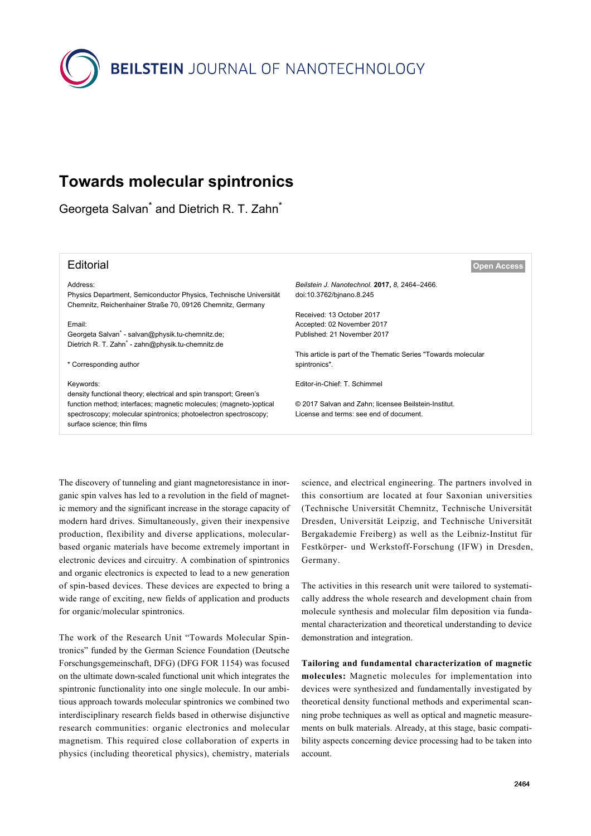**BEILSTEIN** JOURNAL OF NANOTECHNOLOGY

# **Towards molecular spintronics**

Georgeta Salvan<sup>\*</sup> and Dietrich R. T. Zahn<sup>\*</sup>

### Address:

Physics Department, Semiconductor Physics, Technische Universität Chemnitz, Reichenhainer Straße 70, 09126 Chemnitz, Germany

Email:

Georgeta Salvan<sup>\*</sup> - [salvan@physik.tu-chemnitz.de;](mailto:salvan@physik.tu-chemnitz.de) Dietrich R. T. Zahn<sup>\*</sup> - [zahn@physik.tu-chemnitz.de](mailto:zahn@physik.tu-chemnitz.de)

\* Corresponding author

#### Keywords:

density functional theory; electrical and spin transport; Green's function method; interfaces; magnetic molecules; (magneto-)optical spectroscopy; molecular spintronics; photoelectron spectroscopy; surface science; thin films

Editorial **[Open Access](http://www.beilstein-journals.org/bjnano/about/openAccess.htm)**

*Beilstein J. Nanotechnol.* **2017,** *8,* 2464–2466. [doi:10.3762/bjnano.8.245](https://doi.org/10.3762%2Fbjnano.8.245)

Received: 13 October 2017 Accepted: 02 November 2017 Published: 21 November 2017

This article is part of the Thematic Series "Towards molecular spintronics".

Editor-in-Chief: T. Schimmel

© 2017 Salvan and Zahn; licensee Beilstein-Institut. License and terms: see end of document.

The discovery of tunneling and giant magnetoresistance in inorganic spin valves has led to a revolution in the field of magnetic memory and the significant increase in the storage capacity of modern hard drives. Simultaneously, given their inexpensive production, flexibility and diverse applications, molecularbased organic materials have become extremely important in electronic devices and circuitry. A combination of spintronics and organic electronics is expected to lead to a new generation of spin-based devices. These devices are expected to bring a wide range of exciting, new fields of application and products for organic/molecular spintronics.

The work of the Research Unit "Towards Molecular Spintronics" funded by the German Science Foundation (Deutsche Forschungsgemeinschaft, DFG) (DFG FOR 1154) was focused on the ultimate down-scaled functional unit which integrates the spintronic functionality into one single molecule. In our ambitious approach towards molecular spintronics we combined two interdisciplinary research fields based in otherwise disjunctive research communities: organic electronics and molecular magnetism. This required close collaboration of experts in physics (including theoretical physics), chemistry, materials

science, and electrical engineering. The partners involved in this consortium are located at four Saxonian universities (Technische Universität Chemnitz, Technische Universität Dresden, Universität Leipzig, and Technische Universität Bergakademie Freiberg) as well as the Leibniz-Institut für Festkörper- und Werkstoff-Forschung (IFW) in Dresden, Germany.

The activities in this research unit were tailored to systematically address the whole research and development chain from molecule synthesis and molecular film deposition via fundamental characterization and theoretical understanding to device demonstration and integration.

**Tailoring and fundamental characterization of magnetic molecules:** Magnetic molecules for implementation into devices were synthesized and fundamentally investigated by theoretical density functional methods and experimental scanning probe techniques as well as optical and magnetic measurements on bulk materials. Already, at this stage, basic compatibility aspects concerning device processing had to be taken into account.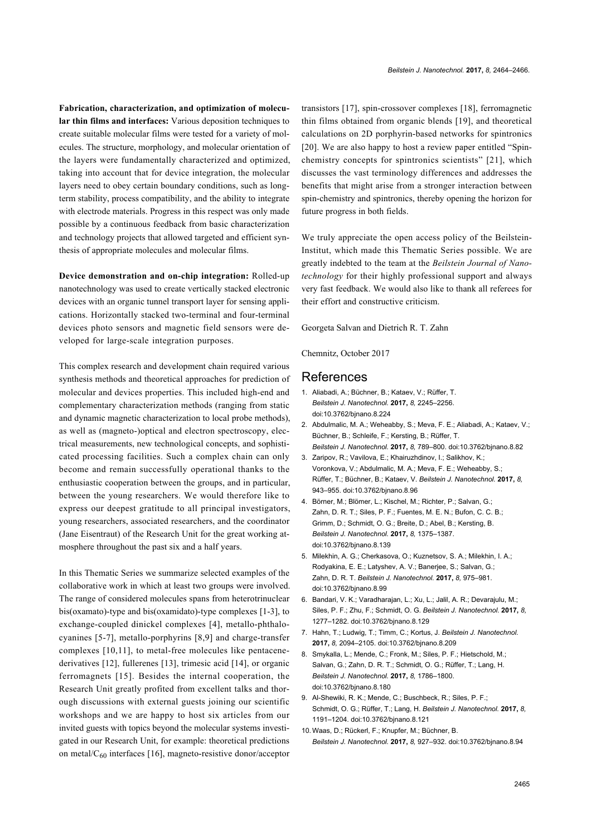**Fabrication, characterization, and optimization of molecular thin films and interfaces:** Various deposition techniques to create suitable molecular films were tested for a variety of molecules. The structure, morphology, and molecular orientation of the layers were fundamentally characterized and optimized, taking into account that for device integration, the molecular layers need to obey certain boundary conditions, such as longterm stability, process compatibility, and the ability to integrate with electrode materials. Progress in this respect was only made possible by a continuous feedback from basic characterization and technology projects that allowed targeted and efficient synthesis of appropriate molecules and molecular films.

**Device demonstration and on-chip integration:** Rolled-up nanotechnology was used to create vertically stacked electronic devices with an organic tunnel transport layer for sensing applications. Horizontally stacked two-terminal and four-terminal devices photo sensors and magnetic field sensors were developed for large-scale integration purposes.

This complex research and development chain required various synthesis methods and theoretical approaches for prediction of molecular and devices properties. This included high-end and complementary characterization methods (ranging from static and dynamic magnetic characterization to local probe methods), as well as (magneto-)optical and electron spectroscopy, electrical measurements, new technological concepts, and sophisticated processing facilities. Such a complex chain can only become and remain successfully operational thanks to the enthusiastic cooperation between the groups, and in particular, between the young researchers. We would therefore like to express our deepest gratitude to all principal investigators, young researchers, associated researchers, and the coordinator (Jane Eisentraut) of the Research Unit for the great working atmosphere throughout the past six and a half years.

In this Thematic Series we summarize selected examples of the collaborative work in which at least two groups were involved. The range of considered molecules spans from heterotrinuclear bis(oxamato)-type and bis(oxamidato)-type complexes [\[1-3\],](#page-1-0) to exchange-coupled dinickel complexes [\[4\],](#page-1-1) metallo-phthalocyanines [\[5-7\],](#page-1-2) metallo-porphyrins [\[8,9\]](#page-1-3) and charge-transfer complexes [\[10,11\]](#page-1-4), to metal-free molecules like pentacenederivatives [\[12\]](#page-2-0), fullerenes [\[13\],](#page-2-1) trimesic acid [\[14\]](#page-2-2), or organic ferromagnets [\[15\]](#page-2-3). Besides the internal cooperation, the Research Unit greatly profited from excellent talks and thorough discussions with external guests joining our scientific workshops and we are happy to host six articles from our invited guests with topics beyond the molecular systems investigated in our Research Unit, for example: theoretical predictions on metal/ $C_{60}$  interfaces [\[16\],](#page-2-4) magneto-resistive donor/acceptor

transistors [\[17\],](#page-2-5) spin-crossover complexes [\[18\],](#page-2-6) ferromagnetic thin films obtained from organic blends [\[19\]](#page-2-7), and theoretical calculations on 2D porphyrin-based networks for spintronics [\[20\]](#page-2-8). We are also happy to host a review paper entitled "Spinchemistry concepts for spintronics scientists" [\[21\]](#page-2-9), which discusses the vast terminology differences and addresses the benefits that might arise from a stronger interaction between spin-chemistry and spintronics, thereby opening the horizon for future progress in both fields.

We truly appreciate the open access policy of the Beilstein-Institut, which made this Thematic Series possible. We are greatly indebted to the team at the *Beilstein Journal of Nanotechnology* for their highly professional support and always very fast feedback. We would also like to thank all referees for their effort and constructive criticism.

Georgeta Salvan and Dietrich R. T. Zahn

Chemnitz, October 2017

## References

- <span id="page-1-0"></span>1. Aliabadi, A.; Büchner, B.; Kataev, V.; Rüffer, T. *Beilstein J. Nanotechnol.* **2017,** *8,* 2245–2256. [doi:10.3762/bjnano.8.224](https://doi.org/10.3762%2Fbjnano.8.224)
- 2. Abdulmalic, M. A.; Weheabby, S.; Meva, F. E.; Aliabadi, A.; Kataev, V.; Büchner, B.; Schleife, F.; Kersting, B.; Rüffer, T. *Beilstein J. Nanotechnol.* **2017,** *8,* 789–800. [doi:10.3762/bjnano.8.82](https://doi.org/10.3762%2Fbjnano.8.82)
- 3. Zaripov, R.; Vavilova, E.; Khairuzhdinov, I.; Salikhov, K.; Voronkova, V.; Abdulmalic, M. A.; Meva, F. E.; Weheabby, S.; Rüffer, T.; Büchner, B.; Kataev, V. *Beilstein J. Nanotechnol.* **2017,** *8,* 943–955. [doi:10.3762/bjnano.8.96](https://doi.org/10.3762%2Fbjnano.8.96)
- <span id="page-1-1"></span>4. Börner, M.; Blömer, L.; Kischel, M.; Richter, P.; Salvan, G.; Zahn, D. R. T.; Siles, P. F.; Fuentes, M. E. N.; Bufon, C. C. B.; Grimm, D.; Schmidt, O. G.; Breite, D.; Abel, B.; Kersting, B. *Beilstein J. Nanotechnol.* **2017,** *8,* 1375–1387. [doi:10.3762/bjnano.8.139](https://doi.org/10.3762%2Fbjnano.8.139)
- <span id="page-1-2"></span>5. Milekhin, A. G.; Cherkasova, O.; Kuznetsov, S. A.; Milekhin, I. A.; Rodyakina, E. E.; Latyshev, A. V.; Banerjee, S.; Salvan, G.; Zahn, D. R. T. *Beilstein J. Nanotechnol.* **2017,** *8,* 975–981. [doi:10.3762/bjnano.8.99](https://doi.org/10.3762%2Fbjnano.8.99)
- 6. Bandari, V. K.; Varadharajan, L.; Xu, L.; Jalil, A. R.; Devarajulu, M.; Siles, P. F.; Zhu, F.; Schmidt, O. G. *Beilstein J. Nanotechnol.* **2017,** *8,* 1277–1282. [doi:10.3762/bjnano.8.129](https://doi.org/10.3762%2Fbjnano.8.129)
- 7. Hahn, T.; Ludwig, T.; Timm, C.; Kortus, J. *Beilstein J. Nanotechnol.* **2017,** *8,* 2094–2105. [doi:10.3762/bjnano.8.209](https://doi.org/10.3762%2Fbjnano.8.209)
- <span id="page-1-3"></span>8. Smykalla, L.; Mende, C.; Fronk, M.; Siles, P. F.; Hietschold, M.; Salvan, G.; Zahn, D. R. T.; Schmidt, O. G.; Rüffer, T.; Lang, H. *Beilstein J. Nanotechnol.* **2017,** *8,* 1786–1800. [doi:10.3762/bjnano.8.180](https://doi.org/10.3762%2Fbjnano.8.180)
- 9. Al-Shewiki, R. K.; Mende, C.; Buschbeck, R.; Siles, P. F.; Schmidt, O. G.; Rüffer, T.; Lang, H. *Beilstein J. Nanotechnol.* **2017,** *8,* 1191–1204. [doi:10.3762/bjnano.8.121](https://doi.org/10.3762%2Fbjnano.8.121)
- <span id="page-1-4"></span>10.Waas, D.; Rückerl, F.; Knupfer, M.; Büchner, B. *Beilstein J. Nanotechnol.* **2017,** *8,* 927–932. [doi:10.3762/bjnano.8.94](https://doi.org/10.3762%2Fbjnano.8.94)